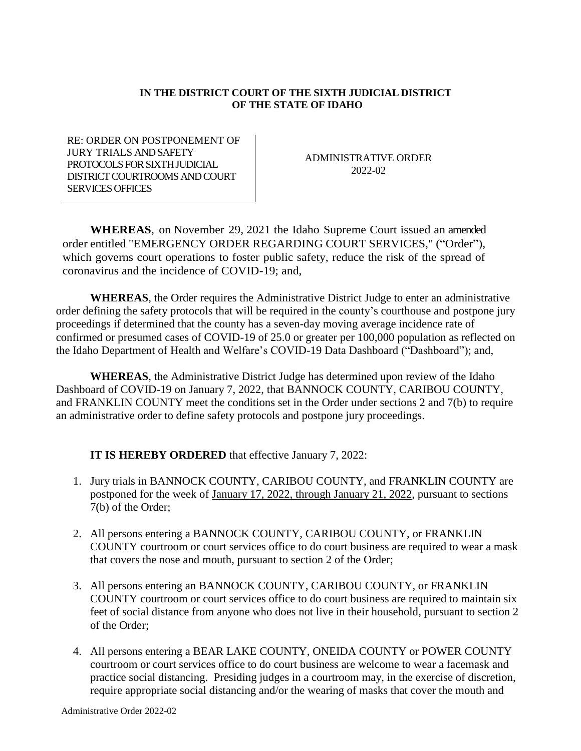## **IN THE DISTRICT COURT OF THE SIXTH JUDICIAL DISTRICT OF THE STATE OF IDAHO**

RE: ORDER ON POSTPONEMENT OF JURY TRIALS AND SAFETY PROTOCOLS FOR SIXTH JUDICIAL DISTRICT COURTROOMS AND COURT SERVICES OFFICES

ADMINISTRATIVE ORDER 2022-02

**WHEREAS**, on November 29, 2021 the Idaho Supreme Court issued an amended order entitled "EMERGENCY ORDER REGARDING COURT SERVICES," ("Order"), which governs court operations to foster public safety, reduce the risk of the spread of coronavirus and the incidence of COVID-19; and,

**WHEREAS**, the Order requires the Administrative District Judge to enter an administrative order defining the safety protocols that will be required in the county's courthouse and postpone jury proceedings if determined that the county has a seven-day moving average incidence rate of confirmed or presumed cases of COVID-19 of 25.0 or greater per 100,000 population as reflected on the Idaho Department of Health and Welfare's COVID-19 Data Dashboard ("Dashboard"); and,

**WHEREAS**, the Administrative District Judge has determined upon review of the Idaho Dashboard of COVID-19 on January 7, 2022, that BANNOCK COUNTY, CARIBOU COUNTY, and FRANKLIN COUNTY meet the conditions set in the Order under sections 2 and 7(b) to require an administrative order to define safety protocols and postpone jury proceedings.

## **IT IS HEREBY ORDERED** that effective January 7, 2022:

- 1. Jury trials in BANNOCK COUNTY, CARIBOU COUNTY, and FRANKLIN COUNTY are postponed for the week of January 17, 2022, through January 21, 2022, pursuant to sections 7(b) of the Order;
- 2. All persons entering a BANNOCK COUNTY, CARIBOU COUNTY, or FRANKLIN COUNTY courtroom or court services office to do court business are required to wear a mask that covers the nose and mouth, pursuant to section 2 of the Order;
- 3. All persons entering an BANNOCK COUNTY, CARIBOU COUNTY, or FRANKLIN COUNTY courtroom or court services office to do court business are required to maintain six feet of social distance from anyone who does not live in their household, pursuant to section 2 of the Order;
- 4. All persons entering a BEAR LAKE COUNTY, ONEIDA COUNTY or POWER COUNTY courtroom or court services office to do court business are welcome to wear a facemask and practice social distancing. Presiding judges in a courtroom may, in the exercise of discretion, require appropriate social distancing and/or the wearing of masks that cover the mouth and